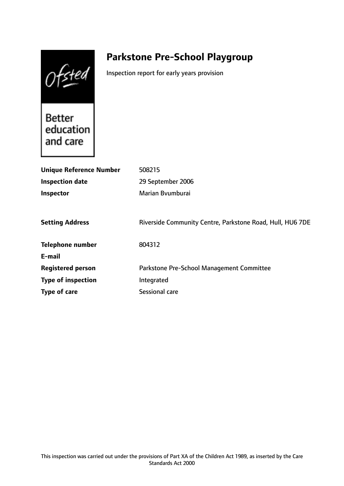Ofsted

# **Parkstone Pre-School Playgroup**

Inspection report for early years provision

**Better** education and care

| <b>Unique Reference Number</b> | 508215                                                    |
|--------------------------------|-----------------------------------------------------------|
| Inspection date                | 29 September 2006                                         |
| <b>Inspector</b>               | Marian Byumburai                                          |
|                                |                                                           |
| <b>Setting Address</b>         | Riverside Community Centre, Parkstone Road, Hull, HU6 7DE |
| <b>Telephone number</b>        | 804312                                                    |
| E-mail                         |                                                           |
| <b>Registered person</b>       | Parkstone Pre-School Management Committee                 |
| <b>Type of inspection</b>      | Integrated                                                |
| Type of care                   | Sessional care                                            |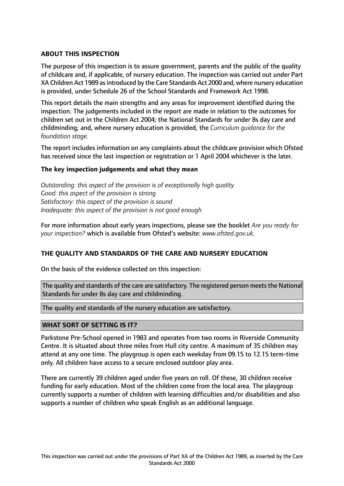# **ABOUT THIS INSPECTION**

The purpose of this inspection is to assure government, parents and the public of the quality of childcare and, if applicable, of nursery education. The inspection was carried out under Part XA Children Act 1989 as introduced by the Care Standards Act 2000 and, where nursery education is provided, under Schedule 26 of the School Standards and Framework Act 1998.

This report details the main strengths and any areas for improvement identified during the inspection. The judgements included in the report are made in relation to the outcomes for children set out in the Children Act 2004; the National Standards for under 8s day care and childminding; and, where nursery education is provided, the *Curriculum guidance for the foundation stage.*

The report includes information on any complaints about the childcare provision which Ofsted has received since the last inspection or registration or 1 April 2004 whichever is the later.

## **The key inspection judgements and what they mean**

*Outstanding: this aspect of the provision is of exceptionally high quality Good: this aspect of the provision is strong Satisfactory: this aspect of the provision is sound Inadequate: this aspect of the provision is not good enough*

For more information about early years inspections, please see the booklet *Are you ready for your inspection?* which is available from Ofsted's website: *www.ofsted.gov.uk.*

## **THE QUALITY AND STANDARDS OF THE CARE AND NURSERY EDUCATION**

On the basis of the evidence collected on this inspection:

The quality and standards of the care are satisfactory. The registered person meets the National Standards for under 8s day care and childminding.

The quality and standards of the nursery education are satisfactory.

## **WHAT SORT OF SETTING IS IT?**

Parkstone Pre-School opened in 1983 and operates from two rooms in Riverside Community Centre. It is situated about three miles from Hull city centre. A maximum of 35 children may attend at any one time. The playgroup is open each weekday from 09.15 to 12.15 term-time only. All children have access to a secure enclosed outdoor play area.

There are currently 39 children aged under five years on roll. Of these, 30 children receive funding for early education. Most of the children come from the local area. The playgroup currently supports a number of children with learning difficulties and/or disabilities and also supports a number of children who speak English as an additional language.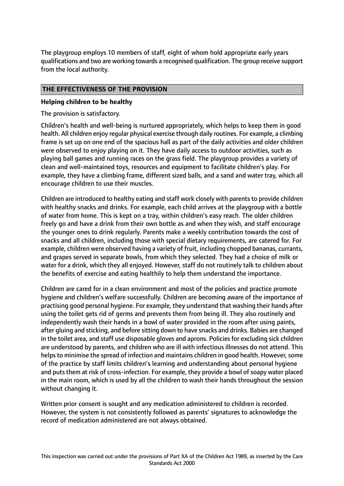The playgroup employs 10 members of staff, eight of whom hold appropriate early years qualifications and two are working towards a recognised qualification. The group receive support from the local authority.

## **THE EFFECTIVENESS OF THE PROVISION**

## **Helping children to be healthy**

The provision is satisfactory.

Children's health and well-being is nurtured appropriately, which helps to keep them in good health. All children enjoy regular physical exercise through daily routines. For example, a climbing frame is set up on one end of the spacious hall as part of the daily activities and older children were observed to enjoy playing on it. They have daily access to outdoor activities, such as playing ball games and running races on the grass field. The playgroup provides a variety of clean and well-maintained toys, resources and equipment to facilitate children's play. For example, they have a climbing frame, different sized balls, and a sand and water tray, which all encourage children to use their muscles.

Children are introduced to healthy eating and staff work closely with parents to provide children with healthy snacks and drinks. For example, each child arrives at the playgroup with a bottle of water from home. This is kept on a tray, within children's easy reach. The older children freely go and have a drink from their own bottle as and when they wish, and staff encourage the younger ones to drink regularly. Parents make a weekly contribution towards the cost of snacks and all children, including those with special dietary requirements, are catered for. For example, children were observed having a variety of fruit, including chopped bananas, currants, and grapes served in separate bowls, from which they selected. They had a choice of milk or water for a drink, which they all enjoyed. However, staff do not routinely talk to children about the benefits of exercise and eating healthily to help them understand the importance.

Children are cared for in a clean environment and most of the policies and practice promote hygiene and children's welfare successfully. Children are becoming aware of the importance of practising good personal hygiene. For example, they understand that washing their hands after using the toilet gets rid of germs and prevents them from being ill. They also routinely and independently wash their hands in a bowl of water provided in the room after using paints, after gluing and sticking, and before sitting down to have snacks and drinks. Babies are changed in the toilet area, and staff use disposable gloves and aprons. Policies for excluding sick children are understood by parents, and children who are ill with infectious illnesses do not attend. This helps to minimise the spread of infection and maintains children in good health. However, some of the practice by staff limits children's learning and understanding about personal hygiene and puts them at risk of cross-infection. For example, they provide a bowl of soapy water placed in the main room, which is used by all the children to wash their hands throughout the session without changing it.

Written prior consent is sought and any medication administered to children is recorded. However, the system is not consistently followed as parents' signatures to acknowledge the record of medication administered are not always obtained.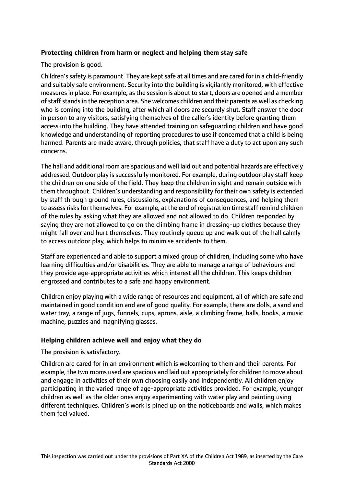# **Protecting children from harm or neglect and helping them stay safe**

The provision is good.

Children's safety is paramount. They are kept safe at all times and are cared for in a child-friendly and suitably safe environment. Security into the building is vigilantly monitored, with effective measures in place. For example, as the session is about to start, doors are opened and a member of staff stands in the reception area. She welcomes children and their parents as well as checking who is coming into the building, after which all doors are securely shut. Staff answer the door in person to any visitors, satisfying themselves of the caller's identity before granting them access into the building. They have attended training on safeguarding children and have good knowledge and understanding of reporting procedures to use if concerned that a child is being harmed. Parents are made aware, through policies, that staff have a duty to act upon any such concerns.

The hall and additional room are spacious and well laid out and potential hazards are effectively addressed. Outdoor play is successfully monitored. For example, during outdoor play staff keep the children on one side of the field. They keep the children in sight and remain outside with them throughout. Children's understanding and responsibility for their own safety is extended by staff through ground rules, discussions, explanations of consequences, and helping them to assess risks for themselves. For example, at the end of registration time staff remind children of the rules by asking what they are allowed and not allowed to do. Children responded by saying they are not allowed to go on the climbing frame in dressing-up clothes because they might fall over and hurt themselves. They routinely queue up and walk out of the hall calmly to access outdoor play, which helps to minimise accidents to them.

Staff are experienced and able to support a mixed group of children, including some who have learning difficulties and/or disabilities. They are able to manage a range of behaviours and they provide age-appropriate activities which interest all the children. This keeps children engrossed and contributes to a safe and happy environment.

Children enjoy playing with a wide range of resources and equipment, all of which are safe and maintained in good condition and are of good quality. For example, there are dolls, a sand and water tray, a range of jugs, funnels, cups, aprons, aisle, a climbing frame, balls, books, a music machine, puzzles and magnifying glasses.

## **Helping children achieve well and enjoy what they do**

The provision is satisfactory.

Children are cared for in an environment which is welcoming to them and their parents. For example, the two rooms used are spacious and laid out appropriately for children to move about and engage in activities of their own choosing easily and independently. All children enjoy participating in the varied range of age-appropriate activities provided. For example, younger children as well as the older ones enjoy experimenting with water play and painting using different techniques. Children's work is pined up on the noticeboards and walls, which makes them feel valued.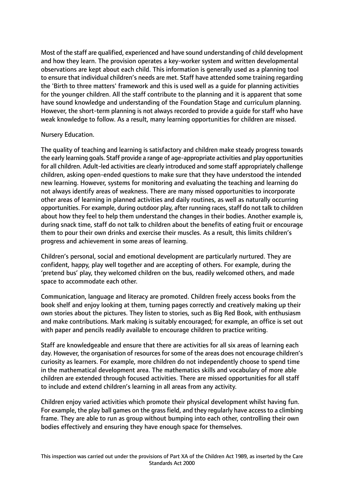Most of the staff are qualified, experienced and have sound understanding of child development and how they learn. The provision operates a key-worker system and written developmental observations are kept about each child. This information is generally used as a planning tool to ensure that individual children's needs are met. Staff have attended some training regarding the 'Birth to three matters' framework and this is used well as a guide for planning activities for the younger children. All the staff contribute to the planning and it is apparent that some have sound knowledge and understanding of the Foundation Stage and curriculum planning. However, the short-term planning is not always recorded to provide a guide for staff who have weak knowledge to follow. As a result, many learning opportunities for children are missed.

## Nursery Education.

The quality of teaching and learning is satisfactory and children make steady progress towards the early learning goals. Staff provide a range of age-appropriate activities and play opportunities for all children. Adult-led activities are clearly introduced and some staff appropriately challenge children, asking open-ended questions to make sure that they have understood the intended new learning. However, systems for monitoring and evaluating the teaching and learning do not always identify areas of weakness. There are many missed opportunities to incorporate other areas of learning in planned activities and daily routines, as well as naturally occurring opportunities. For example, during outdoor play, after running races, staff do not talk to children about how they feel to help them understand the changes in their bodies. Another example is, during snack time, staff do not talk to children about the benefits of eating fruit or encourage them to pour their own drinks and exercise their muscles. As a result, this limits children's progress and achievement in some areas of learning.

Children's personal, social and emotional development are particularly nurtured. They are confident, happy, play well together and are accepting of others. For example, during the 'pretend bus' play, they welcomed children on the bus, readily welcomed others, and made space to accommodate each other.

Communication, language and literacy are promoted. Children freely access books from the book shelf and enjoy looking at them, turning pages correctly and creatively making up their own stories about the pictures. They listen to stories, such as Big Red Book, with enthusiasm and make contributions. Mark making is suitably encouraged; for example, an office is set out with paper and pencils readily available to encourage children to practice writing.

Staff are knowledgeable and ensure that there are activities for all six areas of learning each day. However, the organisation of resources for some of the areas does not encourage children's curiosity as learners. For example, more children do not independently choose to spend time in the mathematical development area. The mathematics skills and vocabulary of more able children are extended through focused activities. There are missed opportunities for all staff to include and extend children's learning in all areas from any activity.

Children enjoy varied activities which promote their physical development whilst having fun. For example, the play ball games on the grass field, and they regularly have access to a climbing frame. They are able to run as group without bumping into each other, controlling their own bodies effectively and ensuring they have enough space for themselves.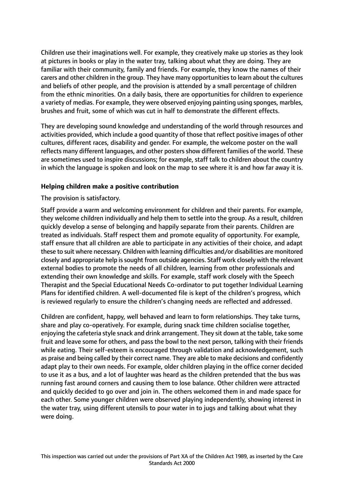Children use their imaginations well. For example, they creatively make up stories as they look at pictures in books or play in the water tray, talking about what they are doing. They are familiar with their community, family and friends. For example, they know the names of their carers and other children in the group. They have many opportunitiesto learn about the cultures and beliefs of other people, and the provision is attended by a small percentage of children from the ethnic minorities. On a daily basis, there are opportunities for children to experience a variety of medias. For example, they were observed enjoying painting using sponges, marbles, brushes and fruit, some of which was cut in half to demonstrate the different effects.

They are developing sound knowledge and understanding of the world through resources and activities provided, which include a good quantity of those that reflect positive images of other cultures, different races, disability and gender. For example, the welcome poster on the wall reflects many different languages, and other posters show different families of the world. These are sometimes used to inspire discussions; for example, staff talk to children about the country in which the language is spoken and look on the map to see where it is and how far away it is.

## **Helping children make a positive contribution**

The provision is satisfactory.

Staff provide a warm and welcoming environment for children and their parents. For example, they welcome children individually and help them to settle into the group. As a result, children quickly develop a sense of belonging and happily separate from their parents. Children are treated as individuals. Staff respect them and promote equality of opportunity. For example, staff ensure that all children are able to participate in any activities of their choice, and adapt these to suit where necessary. Children with learning difficulties and/or disabilities are monitored closely and appropriate help is sought from outside agencies. Staff work closely with the relevant external bodies to promote the needs of all children, learning from other professionals and extending their own knowledge and skills. For example, staff work closely with the Speech Therapist and the Special Educational Needs Co-ordinator to put together Individual Learning Plans for identified children. A well-documented file is kept of the children's progress, which is reviewed regularly to ensure the children's changing needs are reflected and addressed.

Children are confident, happy, well behaved and learn to form relationships. They take turns, share and play co-operatively. For example, during snack time children socialise together, enjoying the cafeteria style snack and drink arrangement. They sit down at the table, take some fruit and leave some for others, and pass the bowl to the next person, talking with their friends while eating. Their self-esteem is encouraged through validation and acknowledgement, such as praise and being called by their correct name. They are able to make decisions and confidently adapt play to their own needs. For example, older children playing in the office corner decided to use it as a bus, and a lot of laughter was heard as the children pretended that the bus was running fast around corners and causing them to lose balance. Other children were attracted and quickly decided to go over and join in. The others welcomed them in and made space for each other. Some younger children were observed playing independently, showing interest in the water tray, using different utensils to pour water in to jugs and talking about what they were doing.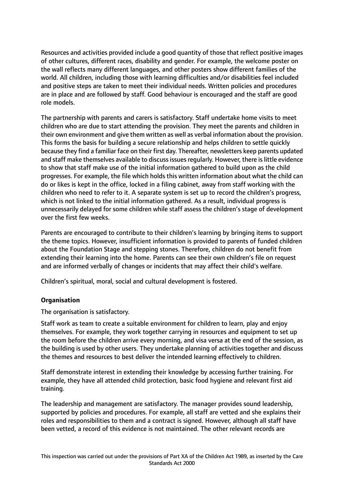Resources and activities provided include a good quantity of those that reflect positive images of other cultures, different races, disability and gender. For example, the welcome poster on the wall reflects many different languages, and other posters show different families of the world. All children, including those with learning difficulties and/or disabilities feel included and positive steps are taken to meet their individual needs. Written policies and procedures are in place and are followed by staff. Good behaviour is encouraged and the staff are good role models.

The partnership with parents and carers is satisfactory. Staff undertake home visits to meet children who are due to start attending the provision. They meet the parents and children in their own environment and give them written as well as verbal information about the provision. This forms the basis for building a secure relationship and helps children to settle quickly because they find a familiar face on their first day. Thereafter, newsletters keep parents updated and staff make themselves available to discuss issues regularly. However, there is little evidence to show that staff make use of the initial information gathered to build upon as the child progresses. For example, the file which holds this written information about what the child can do or likes is kept in the office, locked in a filing cabinet, away from staff working with the children who need to refer to it. A separate system is set up to record the children's progress, which is not linked to the initial information gathered. As a result, individual progress is unnecessarily delayed for some children while staff assess the children's stage of development over the first few weeks.

Parents are encouraged to contribute to their children's learning by bringing items to support the theme topics. However, insufficient information is provided to parents of funded children about the Foundation Stage and stepping stones. Therefore, children do not benefit from extending their learning into the home. Parents can see their own children's file on request and are informed verbally of changes or incidents that may affect their child's welfare.

Children's spiritual, moral, social and cultural development is fostered.

## **Organisation**

The organisation is satisfactory.

Staff work as team to create a suitable environment for children to learn, play and enjoy themselves. For example, they work together carrying in resources and equipment to set up the room before the children arrive every morning, and visa versa at the end of the session, as the building is used by other users. They undertake planning of activities together and discuss the themes and resources to best deliver the intended learning effectively to children.

Staff demonstrate interest in extending their knowledge by accessing further training. For example, they have all attended child protection, basic food hygiene and relevant first aid training.

The leadership and management are satisfactory. The manager provides sound leadership, supported by policies and procedures. For example, all staff are vetted and she explains their roles and responsibilities to them and a contract is signed. However, although all staff have been vetted, a record of this evidence is not maintained. The other relevant records are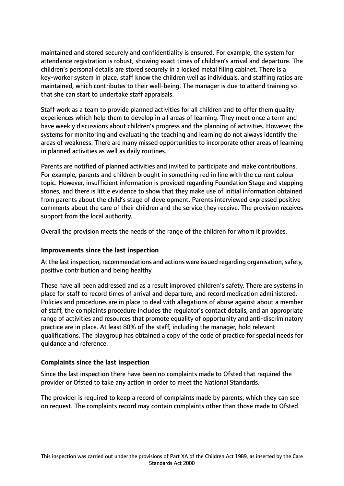maintained and stored securely and confidentiality is ensured. For example, the system for attendance registration is robust, showing exact times of children's arrival and departure. The children's personal details are stored securely in a locked metal filing cabinet. There is a key-worker system in place, staff know the children well as individuals, and staffing ratios are maintained, which contributes to their well-being. The manager is due to attend training so that she can start to undertake staff appraisals.

Staff work as a team to provide planned activities for all children and to offer them quality experiences which help them to develop in all areas of learning. They meet once a term and have weekly discussions about children's progress and the planning of activities. However, the systems for monitoring and evaluating the teaching and learning do not always identify the areas of weakness. There are many missed opportunities to incorporate other areas of learning in planned activities as well as daily routines.

Parents are notified of planned activities and invited to participate and make contributions. For example, parents and children brought in something red in line with the current colour topic. However, insufficient information is provided regarding Foundation Stage and stepping stones, and there is little evidence to show that they make use of initial information obtained from parents about the child's stage of development. Parents interviewed expressed positive comments about the care of their children and the service they receive. The provision receives support from the local authority.

Overall the provision meets the needs of the range of the children for whom it provides.

## **Improvements since the last inspection**

At the last inspection, recommendations and actions were issued regarding organisation, safety, positive contribution and being healthy.

These have all been addressed and as a result improved children's safety. There are systems in place for staff to record times of arrival and departure, and record medication administered. Policies and procedures are in place to deal with allegations of abuse against about a member of staff, the complaints procedure includes the regulator's contact details, and an appropriate range of activities and resources that promote equality of opportunity and anti-discriminatory practice are in place. At least 80% of the staff, including the manager, hold relevant qualifications. The playgroup has obtained a copy of the code of practice for special needs for guidance and reference.

## **Complaints since the last inspection**

Since the last inspection there have been no complaints made to Ofsted that required the provider or Ofsted to take any action in order to meet the National Standards.

The provider is required to keep a record of complaints made by parents, which they can see on request. The complaints record may contain complaints other than those made to Ofsted.